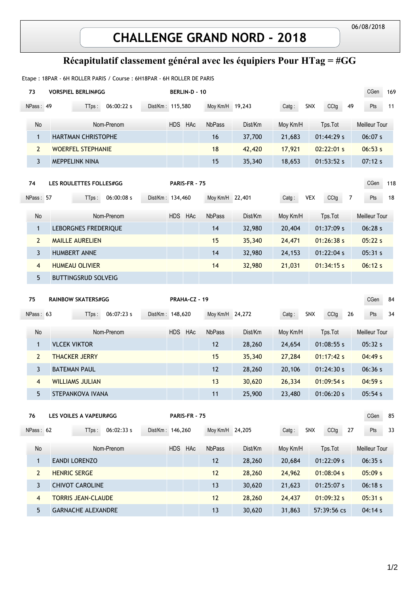## **CHALLENGE GRAND NORD - 2018**

## Récapitulatif classement général avec les équipiers Pour HTag = #GG

Etape : 18PAR - 6H ROLLER PARIS / Course : 6H18PAR - 6H ROLLER DE PARIS

|                         |                               | <b>UT NOLLLIN FAINS / COUPSC . UTTIOF AIN</b> UT NOLLLIN |                  |                      |               |                 |          |            |             |               |                      |                      |     |  |  |  |
|-------------------------|-------------------------------|----------------------------------------------------------|------------------|----------------------|---------------|-----------------|----------|------------|-------------|---------------|----------------------|----------------------|-----|--|--|--|
| 73                      | <b>VORSPIEL BERLIN#GG</b>     |                                                          |                  | BERLIN-D - 10        |               |                 |          |            |             |               |                      | CGen                 | 169 |  |  |  |
| NPass: 49               | TTps:                         | 06:00:22 s                                               | Dist/Km: 115,580 |                      |               | Moy Km/H 19,243 |          | Catg:      | SNX         | CCtg<br>49    |                      | Pts                  | 11  |  |  |  |
| No                      | Nom-Prenom                    | HDS HAc                                                  |                  | <b>NbPass</b>        | Dist/Km       | Moy Km/H        | Tps.Tot  |            |             | Meilleur Tour |                      |                      |     |  |  |  |
| $\mathbf{1}$            | HARTMAN CHRISTOPHE            |                                                          |                  |                      | 16            | 37,700          | 21,683   | 01:44:29 s |             |               | 06:07 s              |                      |     |  |  |  |
| $\overline{2}$          | <b>WOERFEL STEPHANIE</b>      |                                                          |                  |                      | 18            | 42,420          | 17,921   | 02:22:01 s |             |               | 06:53s               |                      |     |  |  |  |
| 3                       | MEPPELINK NINA                |                                                          |                  |                      |               | 15              | 35,340   | 18,653     | 01:53:52s   |               |                      | 07:12s               |     |  |  |  |
| 74                      | LES ROULETTES FOLLES#GG       |                                                          | PARIS-FR - 75    |                      |               |                 |          |            |             | CGen          | 118                  |                      |     |  |  |  |
| NPass: 57               | TTps:                         | 06:00:08s                                                | Dist/Km: 134,460 |                      |               | Moy Km/H 22,401 |          | Catg:      | <b>VEX</b>  | CCtg<br>7     |                      | Pts                  | 18  |  |  |  |
| No                      |                               | Nom-Prenom                                               |                  | HDS HAc              |               | <b>NbPass</b>   | Dist/Km  | Moy Km/H   | Tps.Tot     |               |                      | <b>Meilleur Tour</b> |     |  |  |  |
| $\mathbf{1}$            |                               | LEBORGNES FREDERIQUE                                     |                  |                      |               | 14              | 32,980   | 20,404     | 01:37:09 s  |               |                      | 06:28 s              |     |  |  |  |
| $\overline{2}$          | <b>MAILLE AURELIEN</b>        |                                                          |                  |                      |               | 15              | 35,340   | 24,471     | 01:26:38s   |               |                      | 05:22s               |     |  |  |  |
| 3                       | <b>HUMBERT ANNE</b>           |                                                          |                  |                      |               | 14              | 32,980   | 24,153     | 01:22:04 s  |               | 05:31 s              |                      |     |  |  |  |
| $\overline{\mathbf{4}}$ | <b>HUMEAU OLIVIER</b>         |                                                          |                  |                      |               | 14              | 32,980   | 21,031     | 01:34:15s   |               | 06:12s               |                      |     |  |  |  |
| 5                       | <b>BUTTINGSRUD SOLVEIG</b>    |                                                          |                  |                      |               |                 |          |            |             |               |                      |                      |     |  |  |  |
|                         |                               |                                                          |                  |                      |               |                 |          |            |             |               |                      |                      |     |  |  |  |
| 75                      | <b>RAINBOW SKATERS#GG</b>     |                                                          |                  | PRAHA-CZ - 19        |               |                 |          |            |             |               |                      | CGen                 | 84  |  |  |  |
| NPass: 63               | TTps:                         | 06:07:23 s                                               | Dist/Km: 148,620 |                      |               | Moy Km/H 24,272 |          | Catg:      | SNX         | CCtg<br>26    |                      | Pts                  | 34  |  |  |  |
| No                      | Nom-Prenom                    |                                                          | <b>HDS</b>       | HAc                  | <b>NbPass</b> | Dist/Km         | Moy Km/H | Tps.Tot    |             |               | <b>Meilleur Tour</b> |                      |     |  |  |  |
| $\mathbf{1}$            | <b>VLCEK VIKTOR</b>           |                                                          |                  |                      |               | 12              | 28,260   | 24,654     | 01:08:55 s  |               |                      | 05:32 s              |     |  |  |  |
| $\overline{2}$          | <b>THACKER JERRY</b>          |                                                          |                  |                      |               | 15              | 35,340   | 27,284     | 01:17:42 s  |               |                      | 04:49s               |     |  |  |  |
| 3                       | <b>BATEMAN PAUL</b>           |                                                          |                  |                      |               | 12              | 28,260   | 20,106     | 01:24:30s   |               |                      | 06:36 s              |     |  |  |  |
| $\overline{4}$          | <b>WILLIAMS JULIAN</b>        |                                                          |                  |                      |               |                 | 30,620   | 26,334     | 01:09:54s   |               |                      | 04:59 s              |     |  |  |  |
| 5                       |                               | <b>STEPANKOVA IVANA</b>                                  |                  |                      |               | 11              | 25,900   | 23,480     | 01:06:20s   |               |                      | 05:54 s              |     |  |  |  |
| 76                      | <b>LES VOILES A VAPEUR#GG</b> |                                                          |                  | <b>PARIS-FR - 75</b> |               |                 |          |            |             |               | CGen                 | 85                   |     |  |  |  |
| NPass: 62               | TTps:                         | 06:02:33s                                                | Dist/Km: 146,260 |                      |               | Moy Km/H 24,205 |          | Catg:      | SNX         | CCtg<br>27    |                      | Pts                  | 33  |  |  |  |
| No                      | Nom-Prenom                    |                                                          |                  | HDS HAc              |               | NbPass          | Dist/Km  | Moy Km/H   | Tps.Tot     |               |                      | Meilleur Tour        |     |  |  |  |
| $\mathbf{1}$            | <b>EANDI LORENZO</b>          |                                                          |                  |                      |               | 12              | 28,260   | 20,684     | 01:22:09 s  |               |                      | 06:35s               |     |  |  |  |
| $\overline{2}$          | <b>HENRIC SERGE</b>           |                                                          |                  |                      |               | 12              | 28,260   | 24,962     | 01:08:04 s  |               |                      | 05:09 s              |     |  |  |  |
| 3                       | <b>CHIVOT CAROLINE</b>        |                                                          |                  |                      |               | 13              | 30,620   | 21,623     | 01:25:07s   |               |                      | 06:18s               |     |  |  |  |
| $\overline{4}$          | <b>TORRIS JEAN-CLAUDE</b>     |                                                          |                  |                      |               | 12              | 28,260   | 24,437     | 01:09:32 s  |               |                      | 05:31 s              |     |  |  |  |
| 5                       | <b>GARNACHE ALEXANDRE</b>     |                                                          |                  |                      |               | 13              | 30,620   | 31,863     | 57:39:56 cs |               |                      | 04:14 s              |     |  |  |  |